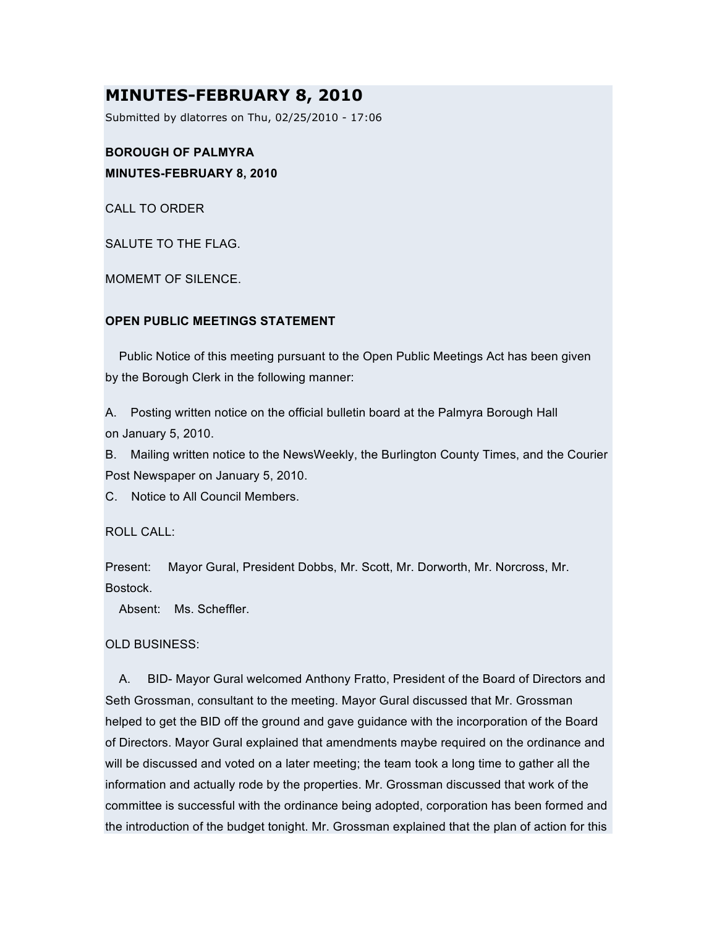# **MINUTES-FEBRUARY 8, 2010**

Submitted by dlatorres on Thu, 02/25/2010 - 17:06

# **BOROUGH OF PALMYRA MINUTES-FEBRUARY 8, 2010**

CALL TO ORDER

SALUTE TO THE FLAG.

MOMEMT OF SILENCE.

# **OPEN PUBLIC MEETINGS STATEMENT**

Public Notice of this meeting pursuant to the Open Public Meetings Act has been given by the Borough Clerk in the following manner:

A. Posting written notice on the official bulletin board at the Palmyra Borough Hall on January 5, 2010.

B. Mailing written notice to the NewsWeekly, the Burlington County Times, and the Courier Post Newspaper on January 5, 2010.

C. Notice to All Council Members.

ROLL CALL:

Present: Mayor Gural, President Dobbs, Mr. Scott, Mr. Dorworth, Mr. Norcross, Mr. Bostock.

Absent: Ms. Scheffler.

# OLD BUSINESS:

A. BID- Mayor Gural welcomed Anthony Fratto, President of the Board of Directors and Seth Grossman, consultant to the meeting. Mayor Gural discussed that Mr. Grossman helped to get the BID off the ground and gave guidance with the incorporation of the Board of Directors. Mayor Gural explained that amendments maybe required on the ordinance and will be discussed and voted on a later meeting; the team took a long time to gather all the information and actually rode by the properties. Mr. Grossman discussed that work of the committee is successful with the ordinance being adopted, corporation has been formed and the introduction of the budget tonight. Mr. Grossman explained that the plan of action for this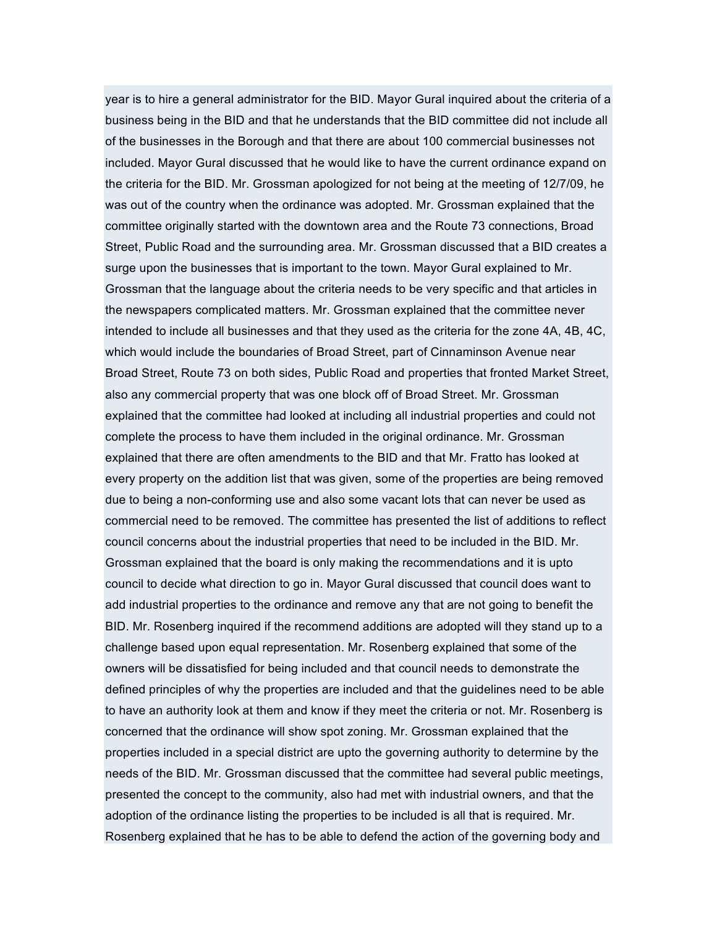year is to hire a general administrator for the BID. Mayor Gural inquired about the criteria of a business being in the BID and that he understands that the BID committee did not include all of the businesses in the Borough and that there are about 100 commercial businesses not included. Mayor Gural discussed that he would like to have the current ordinance expand on the criteria for the BID. Mr. Grossman apologized for not being at the meeting of 12/7/09, he was out of the country when the ordinance was adopted. Mr. Grossman explained that the committee originally started with the downtown area and the Route 73 connections, Broad Street, Public Road and the surrounding area. Mr. Grossman discussed that a BID creates a surge upon the businesses that is important to the town. Mayor Gural explained to Mr. Grossman that the language about the criteria needs to be very specific and that articles in the newspapers complicated matters. Mr. Grossman explained that the committee never intended to include all businesses and that they used as the criteria for the zone 4A, 4B, 4C, which would include the boundaries of Broad Street, part of Cinnaminson Avenue near Broad Street, Route 73 on both sides, Public Road and properties that fronted Market Street, also any commercial property that was one block off of Broad Street. Mr. Grossman explained that the committee had looked at including all industrial properties and could not complete the process to have them included in the original ordinance. Mr. Grossman explained that there are often amendments to the BID and that Mr. Fratto has looked at every property on the addition list that was given, some of the properties are being removed due to being a non-conforming use and also some vacant lots that can never be used as commercial need to be removed. The committee has presented the list of additions to reflect council concerns about the industrial properties that need to be included in the BID. Mr. Grossman explained that the board is only making the recommendations and it is upto council to decide what direction to go in. Mayor Gural discussed that council does want to add industrial properties to the ordinance and remove any that are not going to benefit the BID. Mr. Rosenberg inquired if the recommend additions are adopted will they stand up to a challenge based upon equal representation. Mr. Rosenberg explained that some of the owners will be dissatisfied for being included and that council needs to demonstrate the defined principles of why the properties are included and that the guidelines need to be able to have an authority look at them and know if they meet the criteria or not. Mr. Rosenberg is concerned that the ordinance will show spot zoning. Mr. Grossman explained that the properties included in a special district are upto the governing authority to determine by the needs of the BID. Mr. Grossman discussed that the committee had several public meetings, presented the concept to the community, also had met with industrial owners, and that the adoption of the ordinance listing the properties to be included is all that is required. Mr. Rosenberg explained that he has to be able to defend the action of the governing body and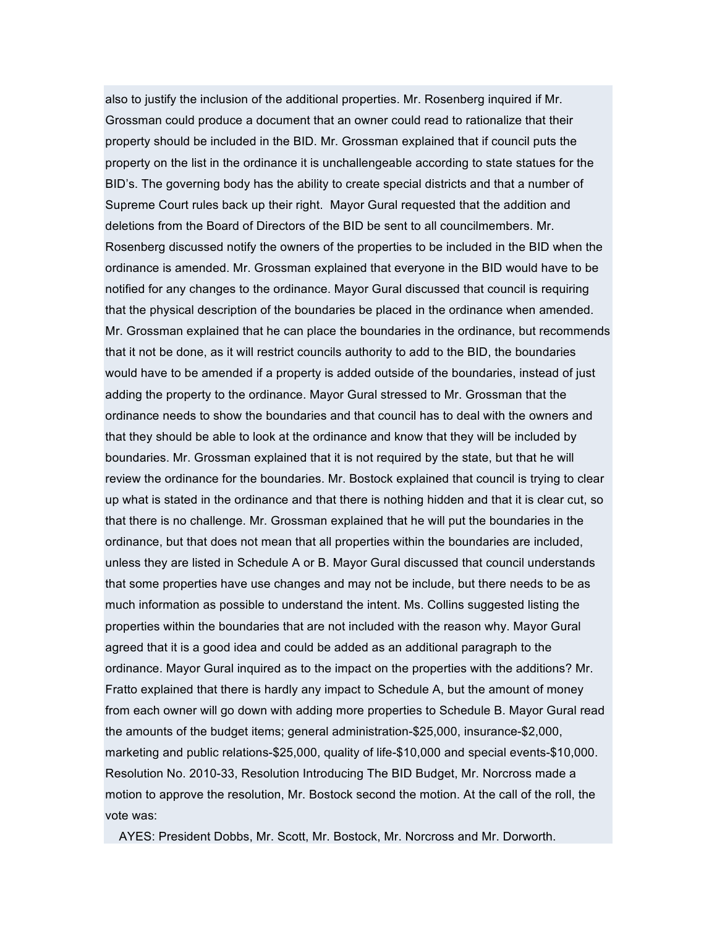also to justify the inclusion of the additional properties. Mr. Rosenberg inquired if Mr. Grossman could produce a document that an owner could read to rationalize that their property should be included in the BID. Mr. Grossman explained that if council puts the property on the list in the ordinance it is unchallengeable according to state statues for the BID's. The governing body has the ability to create special districts and that a number of Supreme Court rules back up their right. Mayor Gural requested that the addition and deletions from the Board of Directors of the BID be sent to all councilmembers. Mr. Rosenberg discussed notify the owners of the properties to be included in the BID when the ordinance is amended. Mr. Grossman explained that everyone in the BID would have to be notified for any changes to the ordinance. Mayor Gural discussed that council is requiring that the physical description of the boundaries be placed in the ordinance when amended. Mr. Grossman explained that he can place the boundaries in the ordinance, but recommends that it not be done, as it will restrict councils authority to add to the BID, the boundaries would have to be amended if a property is added outside of the boundaries, instead of just adding the property to the ordinance. Mayor Gural stressed to Mr. Grossman that the ordinance needs to show the boundaries and that council has to deal with the owners and that they should be able to look at the ordinance and know that they will be included by boundaries. Mr. Grossman explained that it is not required by the state, but that he will review the ordinance for the boundaries. Mr. Bostock explained that council is trying to clear up what is stated in the ordinance and that there is nothing hidden and that it is clear cut, so that there is no challenge. Mr. Grossman explained that he will put the boundaries in the ordinance, but that does not mean that all properties within the boundaries are included, unless they are listed in Schedule A or B. Mayor Gural discussed that council understands that some properties have use changes and may not be include, but there needs to be as much information as possible to understand the intent. Ms. Collins suggested listing the properties within the boundaries that are not included with the reason why. Mayor Gural agreed that it is a good idea and could be added as an additional paragraph to the ordinance. Mayor Gural inquired as to the impact on the properties with the additions? Mr. Fratto explained that there is hardly any impact to Schedule A, but the amount of money from each owner will go down with adding more properties to Schedule B. Mayor Gural read the amounts of the budget items; general administration-\$25,000, insurance-\$2,000, marketing and public relations-\$25,000, quality of life-\$10,000 and special events-\$10,000. Resolution No. 2010-33, Resolution Introducing The BID Budget, Mr. Norcross made a motion to approve the resolution, Mr. Bostock second the motion. At the call of the roll, the vote was:

AYES: President Dobbs, Mr. Scott, Mr. Bostock, Mr. Norcross and Mr. Dorworth.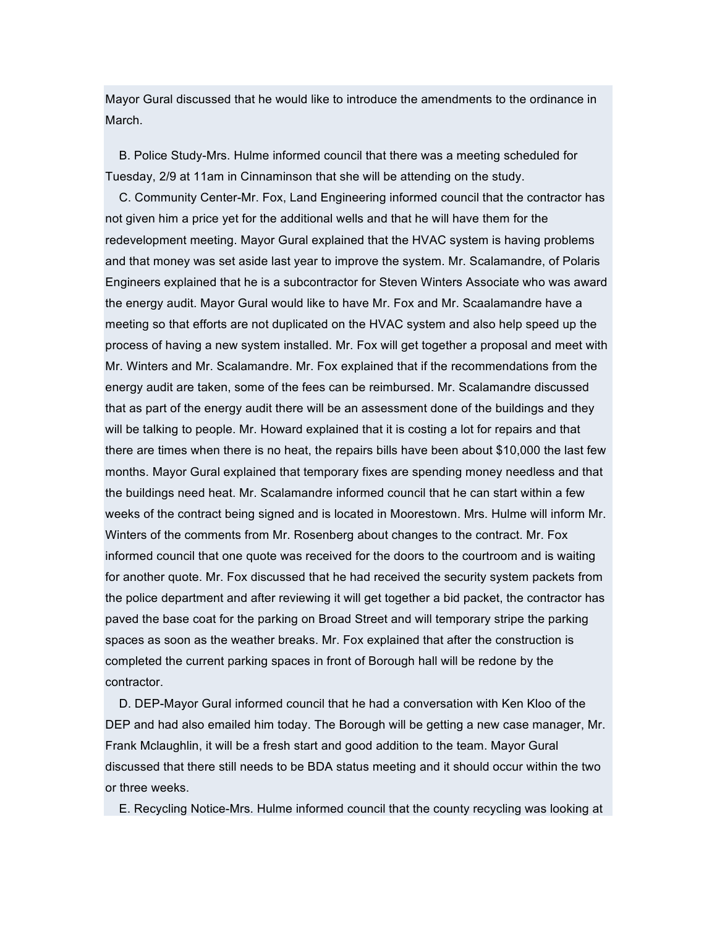Mayor Gural discussed that he would like to introduce the amendments to the ordinance in March.

B. Police Study-Mrs. Hulme informed council that there was a meeting scheduled for Tuesday, 2/9 at 11am in Cinnaminson that she will be attending on the study.

C. Community Center-Mr. Fox, Land Engineering informed council that the contractor has not given him a price yet for the additional wells and that he will have them for the redevelopment meeting. Mayor Gural explained that the HVAC system is having problems and that money was set aside last year to improve the system. Mr. Scalamandre, of Polaris Engineers explained that he is a subcontractor for Steven Winters Associate who was award the energy audit. Mayor Gural would like to have Mr. Fox and Mr. Scaalamandre have a meeting so that efforts are not duplicated on the HVAC system and also help speed up the process of having a new system installed. Mr. Fox will get together a proposal and meet with Mr. Winters and Mr. Scalamandre. Mr. Fox explained that if the recommendations from the energy audit are taken, some of the fees can be reimbursed. Mr. Scalamandre discussed that as part of the energy audit there will be an assessment done of the buildings and they will be talking to people. Mr. Howard explained that it is costing a lot for repairs and that there are times when there is no heat, the repairs bills have been about \$10,000 the last few months. Mayor Gural explained that temporary fixes are spending money needless and that the buildings need heat. Mr. Scalamandre informed council that he can start within a few weeks of the contract being signed and is located in Moorestown. Mrs. Hulme will inform Mr. Winters of the comments from Mr. Rosenberg about changes to the contract. Mr. Fox informed council that one quote was received for the doors to the courtroom and is waiting for another quote. Mr. Fox discussed that he had received the security system packets from the police department and after reviewing it will get together a bid packet, the contractor has paved the base coat for the parking on Broad Street and will temporary stripe the parking spaces as soon as the weather breaks. Mr. Fox explained that after the construction is completed the current parking spaces in front of Borough hall will be redone by the contractor.

D. DEP-Mayor Gural informed council that he had a conversation with Ken Kloo of the DEP and had also emailed him today. The Borough will be getting a new case manager, Mr. Frank Mclaughlin, it will be a fresh start and good addition to the team. Mayor Gural discussed that there still needs to be BDA status meeting and it should occur within the two or three weeks.

E. Recycling Notice-Mrs. Hulme informed council that the county recycling was looking at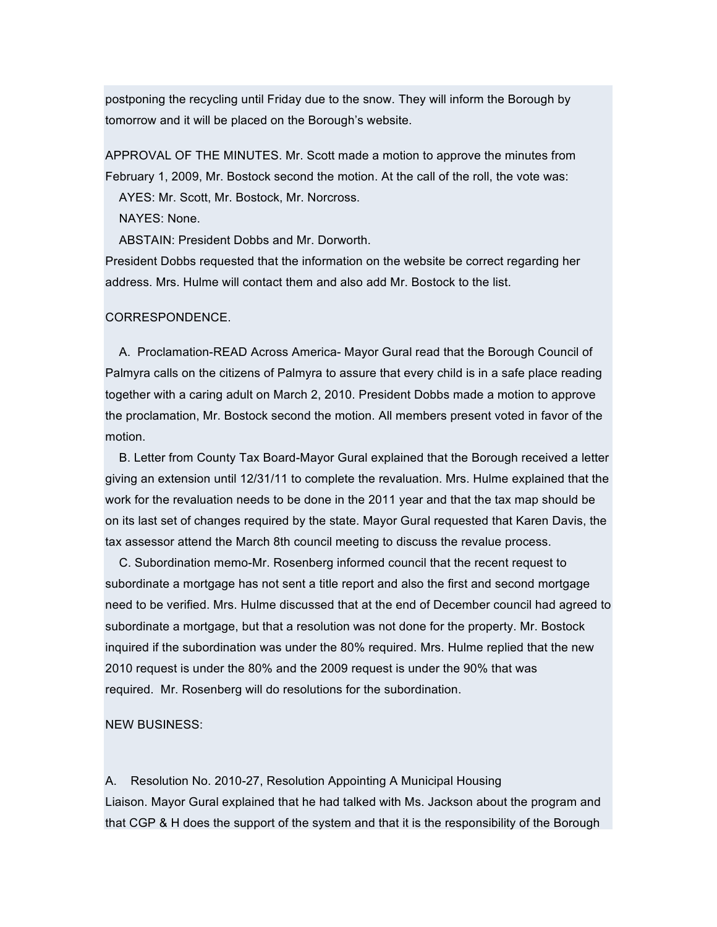postponing the recycling until Friday due to the snow. They will inform the Borough by tomorrow and it will be placed on the Borough's website.

APPROVAL OF THE MINUTES. Mr. Scott made a motion to approve the minutes from February 1, 2009, Mr. Bostock second the motion. At the call of the roll, the vote was:

AYES: Mr. Scott, Mr. Bostock, Mr. Norcross.

NAYES: None.

ABSTAIN: President Dobbs and Mr. Dorworth.

President Dobbs requested that the information on the website be correct regarding her address. Mrs. Hulme will contact them and also add Mr. Bostock to the list.

#### CORRESPONDENCE.

A. Proclamation-READ Across America- Mayor Gural read that the Borough Council of Palmyra calls on the citizens of Palmyra to assure that every child is in a safe place reading together with a caring adult on March 2, 2010. President Dobbs made a motion to approve the proclamation, Mr. Bostock second the motion. All members present voted in favor of the motion.

B. Letter from County Tax Board-Mayor Gural explained that the Borough received a letter giving an extension until 12/31/11 to complete the revaluation. Mrs. Hulme explained that the work for the revaluation needs to be done in the 2011 year and that the tax map should be on its last set of changes required by the state. Mayor Gural requested that Karen Davis, the tax assessor attend the March 8th council meeting to discuss the revalue process.

C. Subordination memo-Mr. Rosenberg informed council that the recent request to subordinate a mortgage has not sent a title report and also the first and second mortgage need to be verified. Mrs. Hulme discussed that at the end of December council had agreed to subordinate a mortgage, but that a resolution was not done for the property. Mr. Bostock inquired if the subordination was under the 80% required. Mrs. Hulme replied that the new 2010 request is under the 80% and the 2009 request is under the 90% that was required. Mr. Rosenberg will do resolutions for the subordination.

NEW BUSINESS:

A. Resolution No. 2010-27, Resolution Appointing A Municipal Housing Liaison. Mayor Gural explained that he had talked with Ms. Jackson about the program and that CGP & H does the support of the system and that it is the responsibility of the Borough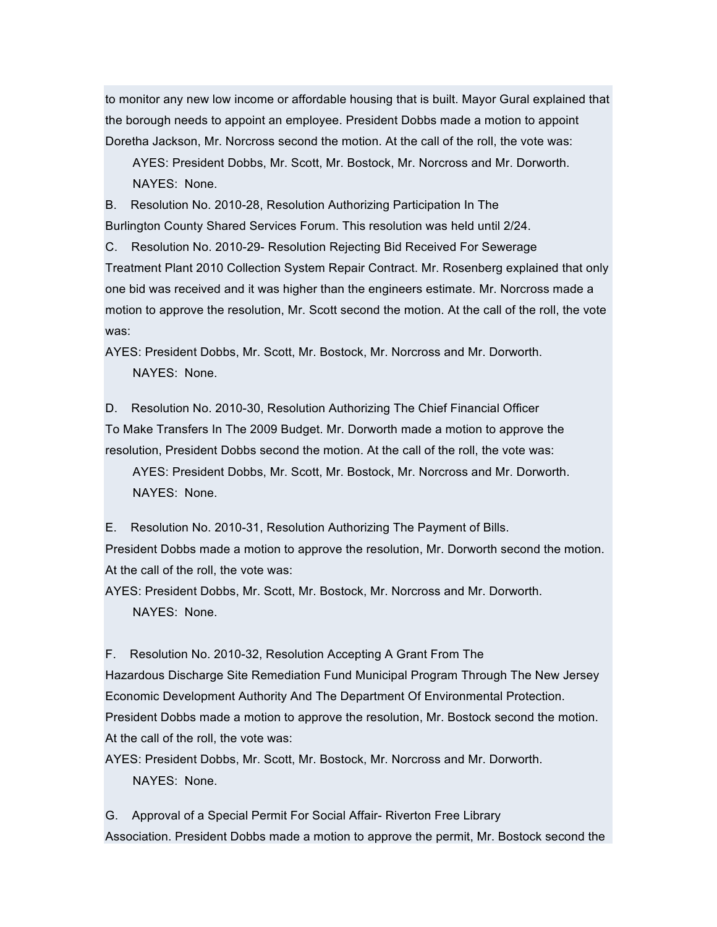to monitor any new low income or affordable housing that is built. Mayor Gural explained that the borough needs to appoint an employee. President Dobbs made a motion to appoint Doretha Jackson, Mr. Norcross second the motion. At the call of the roll, the vote was:

AYES: President Dobbs, Mr. Scott, Mr. Bostock, Mr. Norcross and Mr. Dorworth. NAYES: None.

B. Resolution No. 2010-28, Resolution Authorizing Participation In The Burlington County Shared Services Forum. This resolution was held until 2/24.

C. Resolution No. 2010-29- Resolution Rejecting Bid Received For Sewerage Treatment Plant 2010 Collection System Repair Contract. Mr. Rosenberg explained that only one bid was received and it was higher than the engineers estimate. Mr. Norcross made a motion to approve the resolution, Mr. Scott second the motion. At the call of the roll, the vote was:

AYES: President Dobbs, Mr. Scott, Mr. Bostock, Mr. Norcross and Mr. Dorworth. NAYES: None.

D. Resolution No. 2010-30, Resolution Authorizing The Chief Financial Officer To Make Transfers In The 2009 Budget. Mr. Dorworth made a motion to approve the resolution, President Dobbs second the motion. At the call of the roll, the vote was:

AYES: President Dobbs, Mr. Scott, Mr. Bostock, Mr. Norcross and Mr. Dorworth. NAYES: None.

E. Resolution No. 2010-31, Resolution Authorizing The Payment of Bills. President Dobbs made a motion to approve the resolution, Mr. Dorworth second the motion. At the call of the roll, the vote was:

AYES: President Dobbs, Mr. Scott, Mr. Bostock, Mr. Norcross and Mr. Dorworth. NAYES: None.

F. Resolution No. 2010-32, Resolution Accepting A Grant From The Hazardous Discharge Site Remediation Fund Municipal Program Through The New Jersey Economic Development Authority And The Department Of Environmental Protection. President Dobbs made a motion to approve the resolution, Mr. Bostock second the motion. At the call of the roll, the vote was:

AYES: President Dobbs, Mr. Scott, Mr. Bostock, Mr. Norcross and Mr. Dorworth. NAYES: None.

G. Approval of a Special Permit For Social Affair- Riverton Free Library Association. President Dobbs made a motion to approve the permit, Mr. Bostock second the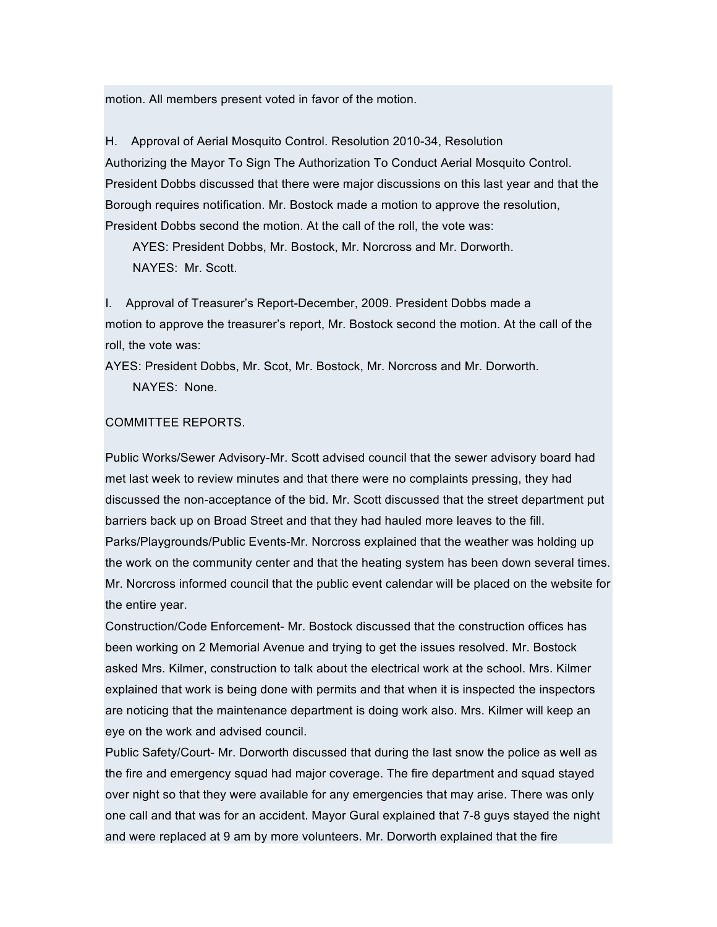motion. All members present voted in favor of the motion.

H. Approval of Aerial Mosquito Control. Resolution 2010-34, Resolution Authorizing the Mayor To Sign The Authorization To Conduct Aerial Mosquito Control. President Dobbs discussed that there were major discussions on this last year and that the Borough requires notification. Mr. Bostock made a motion to approve the resolution, President Dobbs second the motion. At the call of the roll, the vote was:

AYES: President Dobbs, Mr. Bostock, Mr. Norcross and Mr. Dorworth. NAYES: Mr. Scott.

I. Approval of Treasurer's Report-December, 2009. President Dobbs made a motion to approve the treasurer's report, Mr. Bostock second the motion. At the call of the roll, the vote was:

AYES: President Dobbs, Mr. Scot, Mr. Bostock, Mr. Norcross and Mr. Dorworth. NAYES: None.

#### COMMITTEE REPORTS.

Public Works/Sewer Advisory-Mr. Scott advised council that the sewer advisory board had met last week to review minutes and that there were no complaints pressing, they had discussed the non-acceptance of the bid. Mr. Scott discussed that the street department put barriers back up on Broad Street and that they had hauled more leaves to the fill. Parks/Playgrounds/Public Events-Mr. Norcross explained that the weather was holding up the work on the community center and that the heating system has been down several times. Mr. Norcross informed council that the public event calendar will be placed on the website for the entire year.

Construction/Code Enforcement- Mr. Bostock discussed that the construction offices has been working on 2 Memorial Avenue and trying to get the issues resolved. Mr. Bostock asked Mrs. Kilmer, construction to talk about the electrical work at the school. Mrs. Kilmer explained that work is being done with permits and that when it is inspected the inspectors are noticing that the maintenance department is doing work also. Mrs. Kilmer will keep an eye on the work and advised council.

Public Safety/Court- Mr. Dorworth discussed that during the last snow the police as well as the fire and emergency squad had major coverage. The fire department and squad stayed over night so that they were available for any emergencies that may arise. There was only one call and that was for an accident. Mayor Gural explained that 7-8 guys stayed the night and were replaced at 9 am by more volunteers. Mr. Dorworth explained that the fire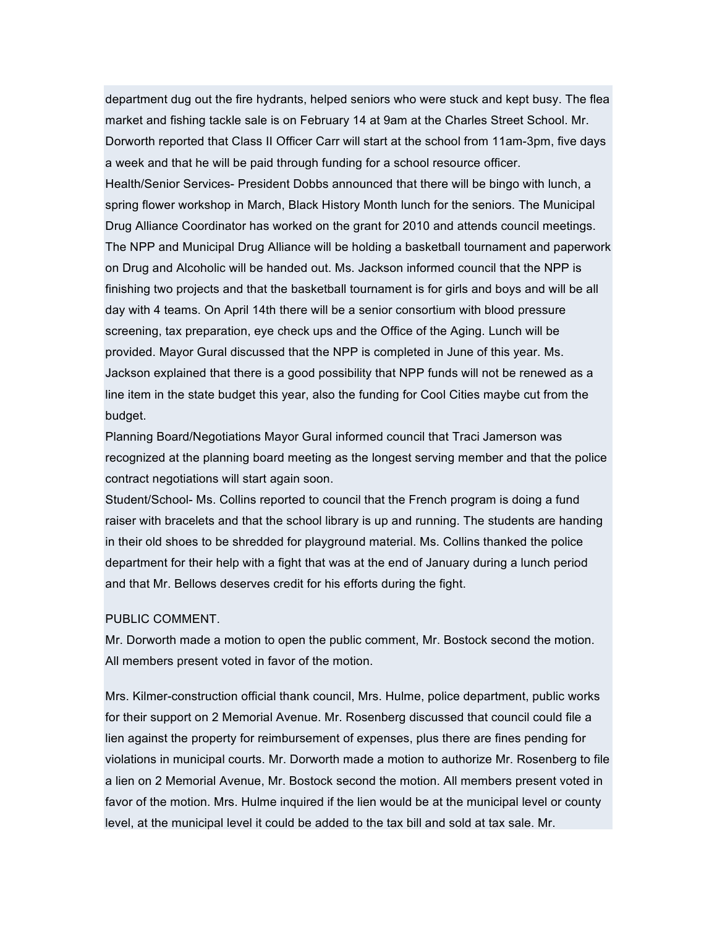department dug out the fire hydrants, helped seniors who were stuck and kept busy. The flea market and fishing tackle sale is on February 14 at 9am at the Charles Street School. Mr. Dorworth reported that Class II Officer Carr will start at the school from 11am-3pm, five days a week and that he will be paid through funding for a school resource officer. Health/Senior Services- President Dobbs announced that there will be bingo with lunch, a spring flower workshop in March, Black History Month lunch for the seniors. The Municipal Drug Alliance Coordinator has worked on the grant for 2010 and attends council meetings. The NPP and Municipal Drug Alliance will be holding a basketball tournament and paperwork on Drug and Alcoholic will be handed out. Ms. Jackson informed council that the NPP is finishing two projects and that the basketball tournament is for girls and boys and will be all day with 4 teams. On April 14th there will be a senior consortium with blood pressure screening, tax preparation, eye check ups and the Office of the Aging. Lunch will be provided. Mayor Gural discussed that the NPP is completed in June of this year. Ms. Jackson explained that there is a good possibility that NPP funds will not be renewed as a line item in the state budget this year, also the funding for Cool Cities maybe cut from the budget.

Planning Board/Negotiations Mayor Gural informed council that Traci Jamerson was recognized at the planning board meeting as the longest serving member and that the police contract negotiations will start again soon.

Student/School- Ms. Collins reported to council that the French program is doing a fund raiser with bracelets and that the school library is up and running. The students are handing in their old shoes to be shredded for playground material. Ms. Collins thanked the police department for their help with a fight that was at the end of January during a lunch period and that Mr. Bellows deserves credit for his efforts during the fight.

#### PUBLIC COMMENT.

Mr. Dorworth made a motion to open the public comment, Mr. Bostock second the motion. All members present voted in favor of the motion.

Mrs. Kilmer-construction official thank council, Mrs. Hulme, police department, public works for their support on 2 Memorial Avenue. Mr. Rosenberg discussed that council could file a lien against the property for reimbursement of expenses, plus there are fines pending for violations in municipal courts. Mr. Dorworth made a motion to authorize Mr. Rosenberg to file a lien on 2 Memorial Avenue, Mr. Bostock second the motion. All members present voted in favor of the motion. Mrs. Hulme inquired if the lien would be at the municipal level or county level, at the municipal level it could be added to the tax bill and sold at tax sale. Mr.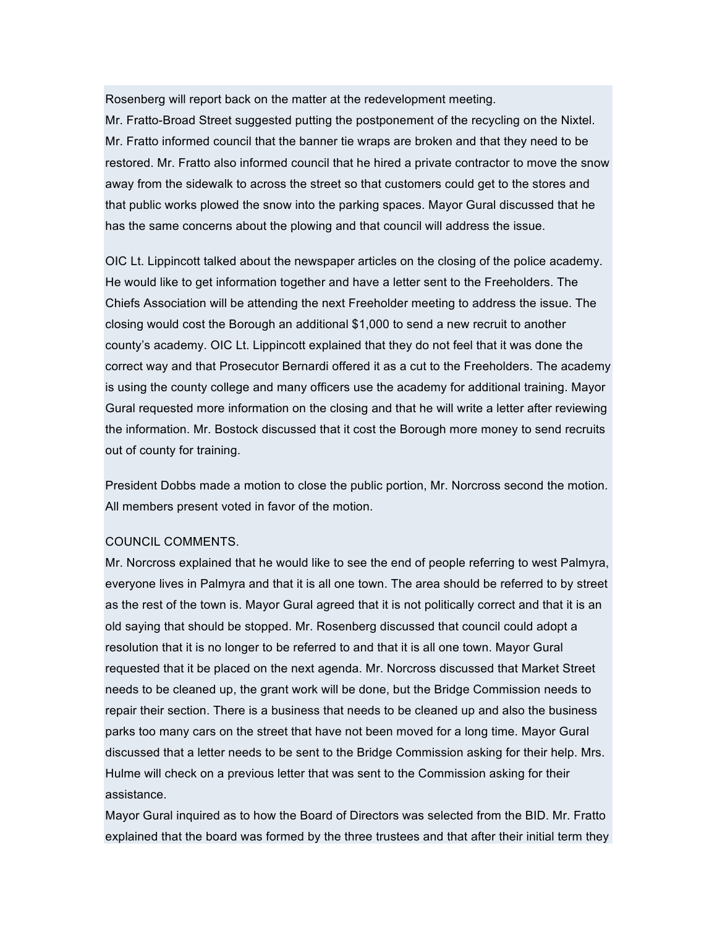Rosenberg will report back on the matter at the redevelopment meeting.

Mr. Fratto-Broad Street suggested putting the postponement of the recycling on the Nixtel. Mr. Fratto informed council that the banner tie wraps are broken and that they need to be restored. Mr. Fratto also informed council that he hired a private contractor to move the snow away from the sidewalk to across the street so that customers could get to the stores and that public works plowed the snow into the parking spaces. Mayor Gural discussed that he has the same concerns about the plowing and that council will address the issue.

OIC Lt. Lippincott talked about the newspaper articles on the closing of the police academy. He would like to get information together and have a letter sent to the Freeholders. The Chiefs Association will be attending the next Freeholder meeting to address the issue. The closing would cost the Borough an additional \$1,000 to send a new recruit to another county's academy. OIC Lt. Lippincott explained that they do not feel that it was done the correct way and that Prosecutor Bernardi offered it as a cut to the Freeholders. The academy is using the county college and many officers use the academy for additional training. Mayor Gural requested more information on the closing and that he will write a letter after reviewing the information. Mr. Bostock discussed that it cost the Borough more money to send recruits out of county for training.

President Dobbs made a motion to close the public portion, Mr. Norcross second the motion. All members present voted in favor of the motion.

# COUNCIL COMMENTS.

Mr. Norcross explained that he would like to see the end of people referring to west Palmyra, everyone lives in Palmyra and that it is all one town. The area should be referred to by street as the rest of the town is. Mayor Gural agreed that it is not politically correct and that it is an old saying that should be stopped. Mr. Rosenberg discussed that council could adopt a resolution that it is no longer to be referred to and that it is all one town. Mayor Gural requested that it be placed on the next agenda. Mr. Norcross discussed that Market Street needs to be cleaned up, the grant work will be done, but the Bridge Commission needs to repair their section. There is a business that needs to be cleaned up and also the business parks too many cars on the street that have not been moved for a long time. Mayor Gural discussed that a letter needs to be sent to the Bridge Commission asking for their help. Mrs. Hulme will check on a previous letter that was sent to the Commission asking for their assistance.

Mayor Gural inquired as to how the Board of Directors was selected from the BID. Mr. Fratto explained that the board was formed by the three trustees and that after their initial term they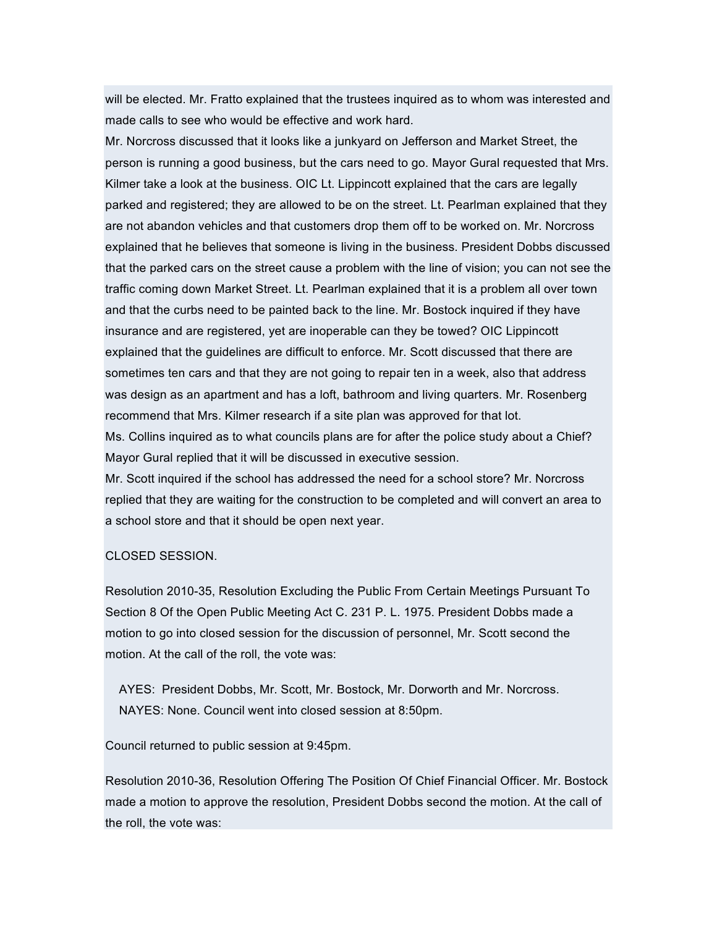will be elected. Mr. Fratto explained that the trustees inquired as to whom was interested and made calls to see who would be effective and work hard.

Mr. Norcross discussed that it looks like a junkyard on Jefferson and Market Street, the person is running a good business, but the cars need to go. Mayor Gural requested that Mrs. Kilmer take a look at the business. OIC Lt. Lippincott explained that the cars are legally parked and registered; they are allowed to be on the street. Lt. Pearlman explained that they are not abandon vehicles and that customers drop them off to be worked on. Mr. Norcross explained that he believes that someone is living in the business. President Dobbs discussed that the parked cars on the street cause a problem with the line of vision; you can not see the traffic coming down Market Street. Lt. Pearlman explained that it is a problem all over town and that the curbs need to be painted back to the line. Mr. Bostock inquired if they have insurance and are registered, yet are inoperable can they be towed? OIC Lippincott explained that the guidelines are difficult to enforce. Mr. Scott discussed that there are sometimes ten cars and that they are not going to repair ten in a week, also that address was design as an apartment and has a loft, bathroom and living quarters. Mr. Rosenberg recommend that Mrs. Kilmer research if a site plan was approved for that lot.

Ms. Collins inquired as to what councils plans are for after the police study about a Chief? Mayor Gural replied that it will be discussed in executive session.

Mr. Scott inquired if the school has addressed the need for a school store? Mr. Norcross replied that they are waiting for the construction to be completed and will convert an area to a school store and that it should be open next year.

#### CLOSED SESSION.

Resolution 2010-35, Resolution Excluding the Public From Certain Meetings Pursuant To Section 8 Of the Open Public Meeting Act C. 231 P. L. 1975. President Dobbs made a motion to go into closed session for the discussion of personnel, Mr. Scott second the motion. At the call of the roll, the vote was:

AYES: President Dobbs, Mr. Scott, Mr. Bostock, Mr. Dorworth and Mr. Norcross. NAYES: None. Council went into closed session at 8:50pm.

Council returned to public session at 9:45pm.

Resolution 2010-36, Resolution Offering The Position Of Chief Financial Officer. Mr. Bostock made a motion to approve the resolution, President Dobbs second the motion. At the call of the roll, the vote was: